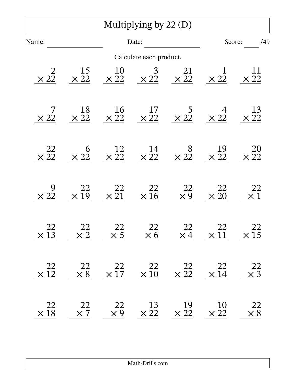|                               |                               |                       | Multiplying by $22(D)$                                                                  |                                                                                                           |                                                                  |                          |
|-------------------------------|-------------------------------|-----------------------|-----------------------------------------------------------------------------------------|-----------------------------------------------------------------------------------------------------------|------------------------------------------------------------------|--------------------------|
| Name:                         |                               | Date:                 |                                                                                         |                                                                                                           | Score:<br>/49                                                    |                          |
|                               |                               |                       | Calculate each product.                                                                 |                                                                                                           |                                                                  |                          |
| $\overline{2}$<br>$\times 22$ | $\frac{15}{\times 22}$        |                       |                                                                                         | $\begin{array}{cccc} 10 & 3 & 21 \\ \times 22 & \times 22 & \times 22 \end{array}$                        | $\times$ 22                                                      | $\times \frac{11}{22}$   |
| $\times$ 22                   | $\frac{18}{\times 22}$        |                       |                                                                                         | $\begin{array}{cccccc}\n & 16 & 17 & 5 & 4 \\ \times 22 & \times 22 & \times 22 & \times 22\n\end{array}$ |                                                                  | $\frac{13}{\times 22}$   |
| $\times\frac{22}{22}$         | $\overline{6}$<br>$\times 22$ |                       | $\begin{array}{cccc}\n 12 & 14 & 8 \\  \times 22 & \times 22 & \times 22\n \end{array}$ |                                                                                                           | $\begin{array}{c} 19 \\ \times 22 \end{array}$                   | <b>20</b><br>$\times$ 22 |
| $\times 22$                   | $\times \frac{22}{19}$        | $\times\frac{22}{21}$ | 22<br>$\times 16$                                                                       | $\begin{array}{c} 22 \\ \times 9 \end{array}$                                                             | 22<br>$\times 20$                                                | <u>22</u><br>$\times 1$  |
| 22<br>$\times \overline{13}$  | $\frac{22}{\times 2}$         | $\frac{22}{\times 5}$ | $\frac{22}{\times 6}$                                                                   |                                                                                                           | $\begin{array}{ccc} 22 & 22 \\ \times 4 & \times 11 \end{array}$ | $\times \frac{22}{15}$   |
| 22<br>$\times 12$             | 22<br>$\times$ 8              | 22                    | 22<br>$\times 17 \times 10$                                                             | 22<br>$\times \overline{22}$ $\times \overline{14}$                                                       | 22                                                               | $\frac{22}{\times 3}$    |
| 22<br>$\times 18$             | 22<br>$\times 7$              | 22<br>$\times 9$      |                                                                                         | $\begin{array}{cccc} 13 & 19 & 10 \\ \times 22 & \times 22 & \times 22 \end{array}$                       |                                                                  | 22<br>$\times 8$         |